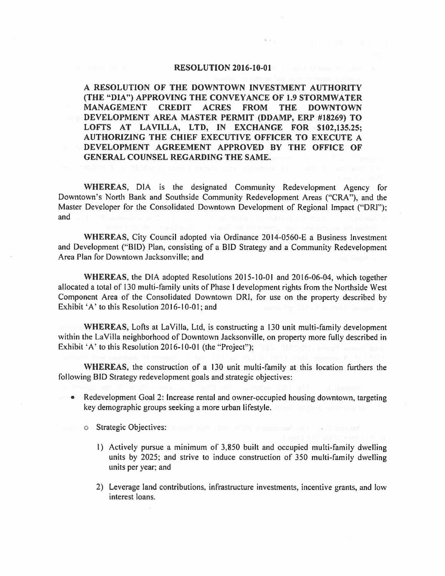## **RESOLUTION 2016-10-01**

**A RESOLUTION OF THE DOWNTOWN INVESTMENT AUTHORITY (THE "DIA") APPROVING THE CONVEYANCE OF 1.9 STORMWATER MANAGEMENT CREDIT ACRES FROM THE DOWNTOWN DEVELOPMENT AREA MASTER PERMIT (DDAMP, ERP #18269) TO**  LOFTS AT LAVILLA, LTD, IN EXCHANGE FOR \$102,135.25; **AUTHORIZING THE CHIEF EXECUTIVE OFFICER TO EXECUTE A DEVELOPMENT AGREEMENT APPROVED BY THE OFFICE OF GENERAL COUNSEL REGARDING THE SAME.** 

**WHEREAS,** DIA is the designated Community Redevelopment Agency for Downtown's North Bank and Southside Community Redevelopment Areas ("CRA"), and the Master Developer for the Consolidated Downtown Development of Regional Impact ("DRI"); and

**WHEREAS,** City Council adopted via Ordinance 2014-0560-E a Business Investment and Development ("BID) Plan, consisting of a BID Strategy and a Community Redevelopment Area Plan for Downtown Jacksonville; and

WHEREAS, the DIA adopted Resolutions 2015-10-01 and 2016-06-04, which together allocated a total of 130 multi-family units of Phase I development rights from the Northside West Component Area of the Consolidated Downtown DR!, for use on the property described by Exhibit 'A' to this Resolution 2016-10-01; and

**WHEREAS,** Lofts at LaVilla, Ltd, is constructing a 130 unit multi-family development within the La Villa neighborhood of Downtown Jacksonville, on property more fully described in Exhibit 'A' to this Resolution 2016-10-01 (the "Project");

**WHEREAS,** the construction of a 130 unit multi-family at this location furthers the following BID Strategy redevelopment goals and strategic objectives:

- Redevelopment Goal 2: Increase rental and owner-occupied housing downtown, targeting key demographic groups seeking a more urban lifestyle.
	- o Strategic Objectives:
		- I) Actively pursue a minimum of 3,850 built and occupied multi-family dwelling units by 2025; and strive to induce construction of 350 multi-family dwelling units per year; and
		- 2) Leverage land contributions, infrastructure investments, incentive grants, and low interest loans.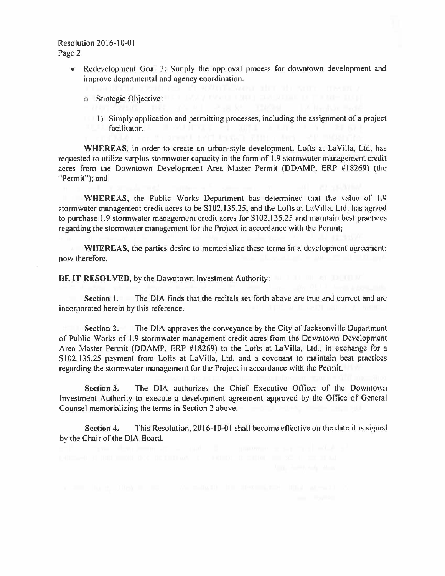Resolution 2016-10-0 I Page 2

- Redevelopment Goal 3: Simply the approval process for downtown development and improve departmental and agency coordination.
	- o Strategic Objective:
	- I) Simply application and permitting processes, including the assignment of a project facilitator.

WHEREAS, in order to create an urban-style development, Lofts at LaVilla, Ltd, has requested to utilize surplus stormwater capacity in the form of 1.9 stormwater management credit acres from the Downtown Development Area Master Permit (DDAMP, ERP #18269) (the "Permit"); and

**WHEREAS,** the Public Works Department has determined that the value of 1.9 stormwater management credit acres to be \$102,135.25, and the Lofts at LaVilla, Ltd, has agreed to purchase 1.9 stormwater management credit acres for \$102,135.25 and maintain best practices regarding the stormwater management for the Project in accordance with the Permit;

**WHEREAS,** the parties desire to memorialize these terms in a development agreement; now therefore,

**BE IT RESOLVED, by the Downtown Investment Authority:** 

**Section 1.** The DIA finds that the recitals set forth above are true and correct and are incorporated herein by this reference.

**Section 2.** The DIA approves the conveyance by the City of Jacksonville Department of Public Works of 1.9 stormwater management credit acres from the Downtown Development Area Master Permit (DDAMP, ERP #18269) to the Lofts at LaVilla, Ltd., in exchange for a \$102,135.25 payment from Lofts at LaVilla, Ltd. and a covenant to maintain best practices regarding the stormwater management for the Project in accordance with the Permit.

**Section 3.** The DIA authorizes the Chief Executive Officer of the Downtown Investment Authority to execute a development agreement approved by the Office of General Counsel memorializing the terms in Section 2 above.

**Section 4.** This Resolution, 2016-10-01 shall become effective on the date it is signed by the Chair of the DIA Board.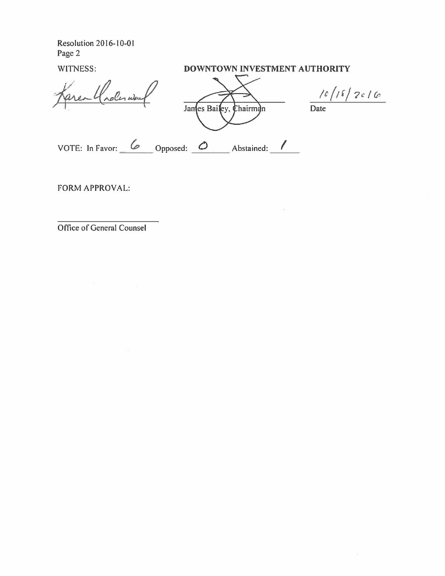Resolution 2016-10-0 I Page 2

## WITNESS: **DOWNTOWN INVESTMENT AUTHORITY**

Area Choles

James Bailey, Chairman

 $10/18/2016$ 

Date

<u>6</u> Opposed: 0 Abstained: <u>1</u> VOTE: In Favor: 6 Opposed: 0 Abstained: 1

FORM APPROVAL:

Office of General Counsel